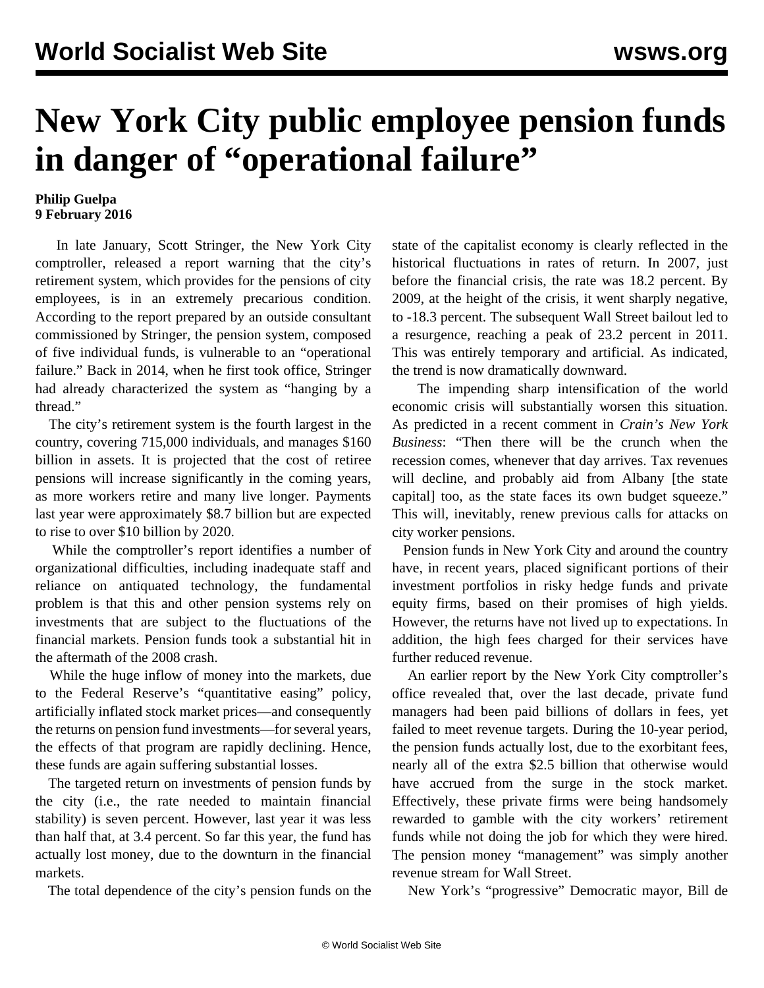## **New York City public employee pension funds in danger of "operational failure"**

## **Philip Guelpa 9 February 2016**

 In late January, Scott Stringer, the New York City comptroller, released a report warning that the city's retirement system, which provides for the pensions of city employees, is in an extremely precarious condition. According to the report prepared by an outside consultant commissioned by Stringer, the pension system, composed of five individual funds, is vulnerable to an "operational failure." Back in 2014, when he first took office, Stringer had already characterized the system as "hanging by a thread."

 The city's retirement system is the fourth largest in the country, covering 715,000 individuals, and manages \$160 billion in assets. It is projected that the cost of retiree pensions will increase significantly in the coming years, as more workers retire and many live longer. Payments last year were approximately \$8.7 billion but are expected to rise to over \$10 billion by 2020.

 While the comptroller's report identifies a number of organizational difficulties, including inadequate staff and reliance on antiquated technology, the fundamental problem is that this and other pension systems rely on investments that are subject to the fluctuations of the financial markets. Pension funds took a substantial hit in the aftermath of the 2008 crash.

 While the huge inflow of money into the markets, due to the Federal Reserve's "quantitative easing" policy, artificially inflated stock market prices—and consequently the returns on pension fund investments—for several years, the effects of that program are rapidly declining. Hence, these funds are again suffering substantial losses.

 The targeted return on investments of pension funds by the city (i.e., the rate needed to maintain financial stability) is seven percent. However, last year it was less than half that, at 3.4 percent. So far this year, the fund has actually lost money, due to the downturn in the financial markets.

The total dependence of the city's pension funds on the

state of the capitalist economy is clearly reflected in the historical fluctuations in rates of return. In 2007, just before the financial crisis, the rate was 18.2 percent. By 2009, at the height of the crisis, it went sharply negative, to -18.3 percent. The subsequent Wall Street bailout led to a resurgence, reaching a peak of 23.2 percent in 2011. This was entirely temporary and artificial. As indicated, the trend is now dramatically downward.

 The impending sharp intensification of the world economic crisis will substantially worsen this situation. As predicted in a recent comment in *Crain's New York Business*: "Then there will be the crunch when the recession comes, whenever that day arrives. Tax revenues will decline, and probably aid from Albany [the state capital] too, as the state faces its own budget squeeze." This will, inevitably, renew previous [calls](/en/articles/2013/12/31/nype-d31.html) for attacks on city worker pensions.

 Pension funds in New York City and around the country have, in recent years, placed significant portions of their investment portfolios in risky hedge funds and private equity firms, based on their promises of high yields. However, the returns have not lived up to expectations. In addition, the high fees charged for their services have further reduced revenue.

 An earlier report by the New York City comptroller's office revealed that, over the last decade, private fund managers had been paid billions of dollars in fees, yet failed to meet revenue targets. During the 10-year period, the pension funds actually lost, due to the exorbitant fees, nearly all of the extra \$2.5 billion that otherwise would have accrued from the surge in the stock market. Effectively, these private firms were being handsomely rewarded to gamble with the city workers' retirement funds while not doing the job for which they were hired. The pension money "management" was simply another revenue stream for Wall Street.

New York's "progressive" Democratic mayor, Bill de